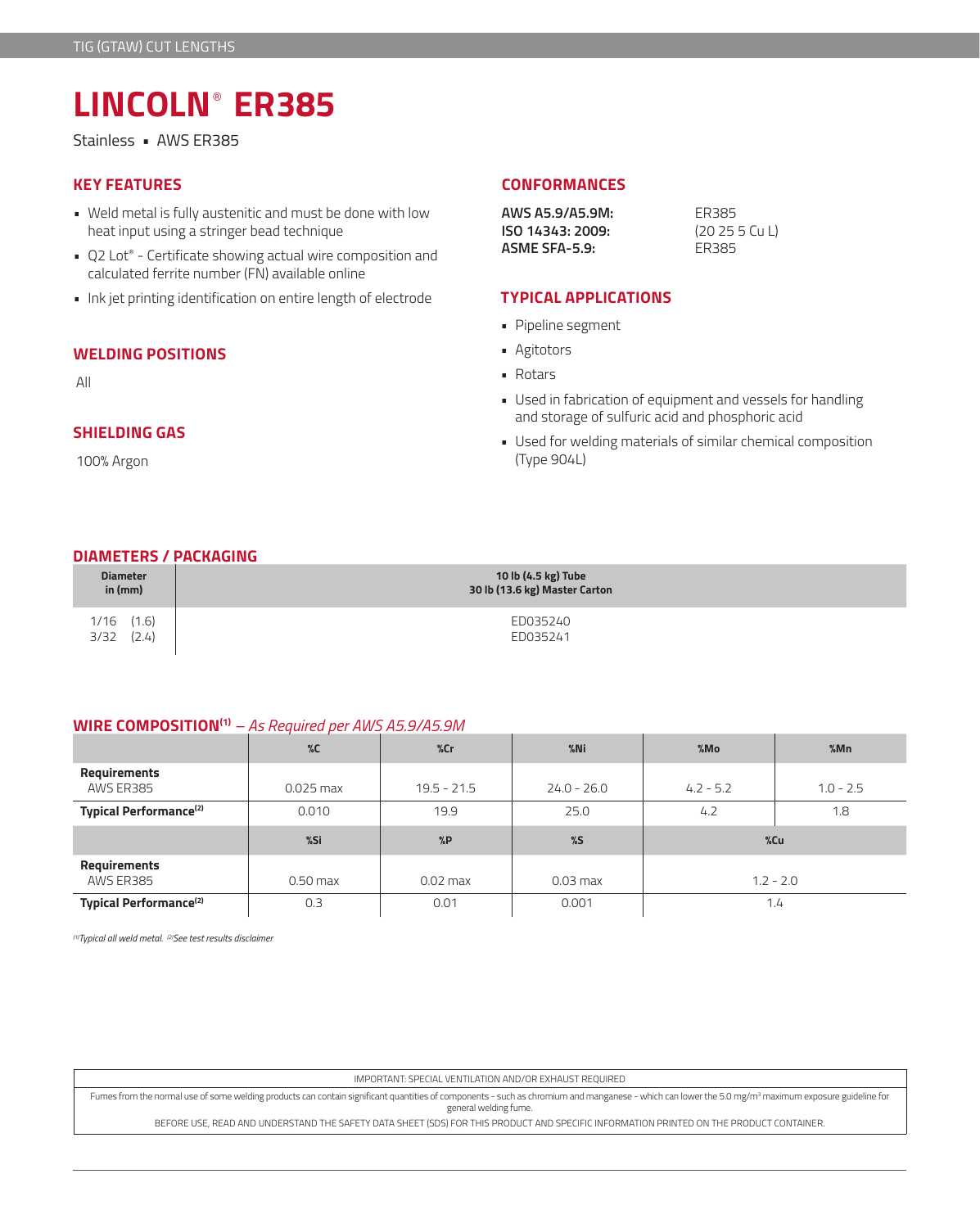# **LINCOLN**® **ER385**

Stainless • AWS ER385

- Weld metal is fully austenitic and must be done with low heat input using a stringer bead technique
- Q2 Lot® Certificate showing actual wire composition and calculated ferrite number (FN) available online
- Ink jet printing identification on entire length of electrode

### **WELDING POSITIONS**

All

# **SHIELDING GAS**

100% Argon

## **KEY FEATURES CONFORMANCES**

**AWS A5.9/A5.9M:** ER385 **ISO 14343: 2009:** (20 25 5 Cu L) **ASME SFA-5.9:** ER385

#### **TYPICAL APPLICATIONS**

- Pipeline segment
- Agitotors
- Rotars
- Used in fabrication of equipment and vessels for handling and storage of sulfuric acid and phosphoric acid
- Used for welding materials of similar chemical composition (Type 904L)

#### **DIAMETERS / PACKAGING**

| <b>Diameter</b>                 | 10 lb (4.5 kg) Tube           |
|---------------------------------|-------------------------------|
| in $(mm)$                       | 30 lb (13.6 kg) Master Carton |
| $1/16$ $(1.6)$<br>(2.4)<br>3/32 | ED035240<br>ED035241          |

#### **WIRE COMPOSITION(1)** *– As Required per AWS A5.9/A5.9M*

|                                    | $\%C$       | %cr           | $%$ Ni        | %Mo         | %Mn         |
|------------------------------------|-------------|---------------|---------------|-------------|-------------|
| Requirements<br>AWS ER385          | $0.025$ max | $19.5 - 21.5$ | $24.0 - 26.0$ | $4.2 - 5.2$ | $1.0 - 2.5$ |
| Typical Performance <sup>(2)</sup> | 0.010       | 19.9          | 25.0          | 4.2         | 1.8         |
|                                    |             |               |               | $%$ Cu      |             |
|                                    | %Si         | %P            | %5            |             |             |
| Requirements<br>AWS ER385          | $0.50$ max  | $0.02$ max    | $0.03$ max    |             | $1.2 - 2.0$ |

*(1)Typical all weld metal. (2)See test results disclaimer* 

IMPORTANT: SPECIAL VENTILATION AND/OR EXHAUST REQUIRED

Fumes from the normal use of some welding products can contain significant quantities of components - such as chromium and manganese - which can lower the 5.0 mg/m3 maximum exposure guideline for general welding fume.

BEFORE USE, READ AND UNDERSTAND THE SAFETY DATA SHEET (SDS) FOR THIS PRODUCT AND SPECIFIC INFORMATION PRINTED ON THE PRODUCT CONTAINER.